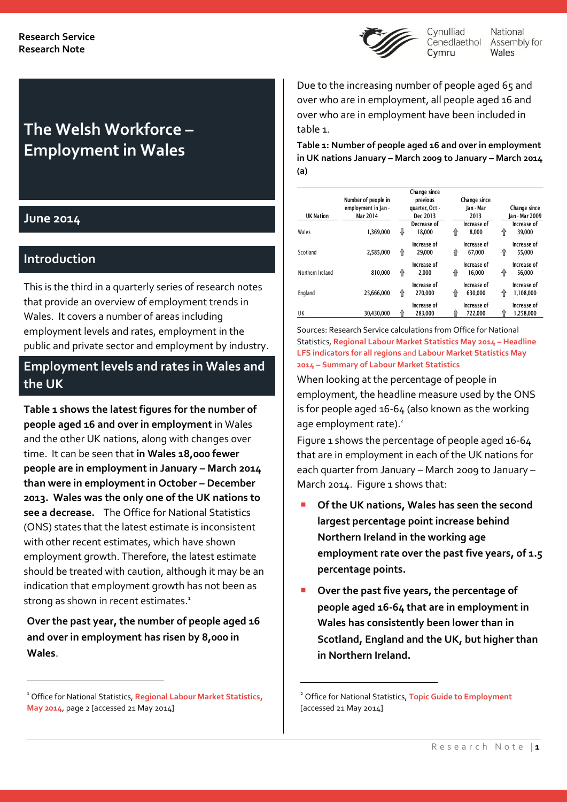

National Cenedlaethol Assembly for Wales

# **The Welsh Workforce – Employment in Wales**

### **June 2014**

 $\overline{a}$ 

### **Introduction**

This is the third in a quarterly series of research notes that provide an overview of employment trends in Wales. It covers a number of areas including employment levels and rates, employment in the public and private sector and employment by industry.

### **Employment levels and rates in Wales and the UK**

**Table 1 shows the latest figures for the number of people aged 16 and over in employment** in Wales and the other UK nations, along with changes over time. It can be seen that **in Wales 18,000 fewer people are in employment in January – March 2014 than were in employment in October – December 2013. Wales was the only one of the UK nations to see a decrease.** The Office for National Statistics (ONS) states that the latest estimate is inconsistent with other recent estimates, which have shown employment growth. Therefore, the latest estimate should be treated with caution, although it may be an indication that employment growth has not been as strong as shown in recent estimates. 1

**Over the past year, the number of people aged 16 and over in employment has risen by 8,000 in Wales**.

Due to the increasing number of people aged 65 and over who are in employment, all people aged 16 and over who are in employment have been included in table 1.

**Table 1: Number of people aged 16 and over in employment in UK nations January – March 2009 to January – March 2014 (a)**

| <b>UK Nation</b> | Number of people in<br>employment in Jan -<br>Mar 2014 |   | Change since<br>previous<br>quarter, Oct -<br>Dec 2013 |   | Change since<br>lan - Mar<br>2013 |   | Change since<br>lan - Mar 2009 |
|------------------|--------------------------------------------------------|---|--------------------------------------------------------|---|-----------------------------------|---|--------------------------------|
| Wales            | 1.369.000                                              | ⊕ | Decrease of<br>18.000                                  | 企 | Increase of<br>8.000              | ⇑ | Increase of<br>39.000          |
| Scotland         | 2.585.000                                              | ⇑ | Increase of<br>29.000                                  | 企 | Increase of<br>67.000             | ⇑ | Increase of<br>55.000          |
| Northern Ireland | 810.000                                                | ⇑ | Increase of<br>2.000                                   | 企 | Increase of<br>16.000             | ⇑ | Increase of<br>56.000          |
| England          | 25.666.000                                             | ⇑ | Increase of<br>270.000                                 | ⇑ | Increase of<br>630.000            | ⇑ | Increase of<br>1.108.000       |
| UK               | 30.430.000                                             |   | Increase of<br>283.000                                 |   | Increase of<br>722.000            |   | Increase of<br>1.258.000       |

Sources: Research Service calculations from Office for National Statistics, **[Regional Labour Market Statistics May](http://www.ons.gov.uk/ons/rel/subnational-labour/regional-labour-market-statistics/may-2014/rft-lm-hi00-may-2014.xls) 2014 – Headline [LFS indicators for all regions](http://www.ons.gov.uk/ons/rel/subnational-labour/regional-labour-market-statistics/may-2014/rft-lm-hi00-may-2014.xls)** and **[Labour Market Statistics May](http://www.ons.gov.uk/ons/rel/lms/labour-market-statistics/may-2014/table-a01.xls) 2014 – [Summary of Labour Market Statistics](http://www.ons.gov.uk/ons/rel/lms/labour-market-statistics/may-2014/table-a01.xls)**

When looking at the percentage of people in employment, the headline measure used by the ONS is for people aged 16-64 (also known as the working age employment rate).<sup>2</sup>

Figure 1 shows the percentage of people aged 16-64 that are in employment in each of the UK nations for each quarter from January – March 2009 to January – March 2014. Figure 1 shows that:

- **Of the UK nations, Wales has seen the second largest percentage point increase behind Northern Ireland in the working age employment rate over the past five years, of 1.5 percentage points.**
- **Over the past five years, the percentage of people aged 16-64 that are in employment in Wales has consistently been lower than in Scotland, England and the UK, but higher than in Northern Ireland.**

<u>.</u>

<sup>1</sup> Office for National Statistics, **[Regional Labour Market Statistics,](http://www.ons.gov.uk/ons/dcp171778_362208.pdf)  [May 2014](http://www.ons.gov.uk/ons/dcp171778_362208.pdf)**, page 2 [accessed 21 May 2014]

<sup>2</sup> Office for National Statistics, **[Topic Guide to Employment](http://www.statistics.gov.uk/hub/labour-market/people-in-work/employment/index.html)** [accessed 21 May 2014]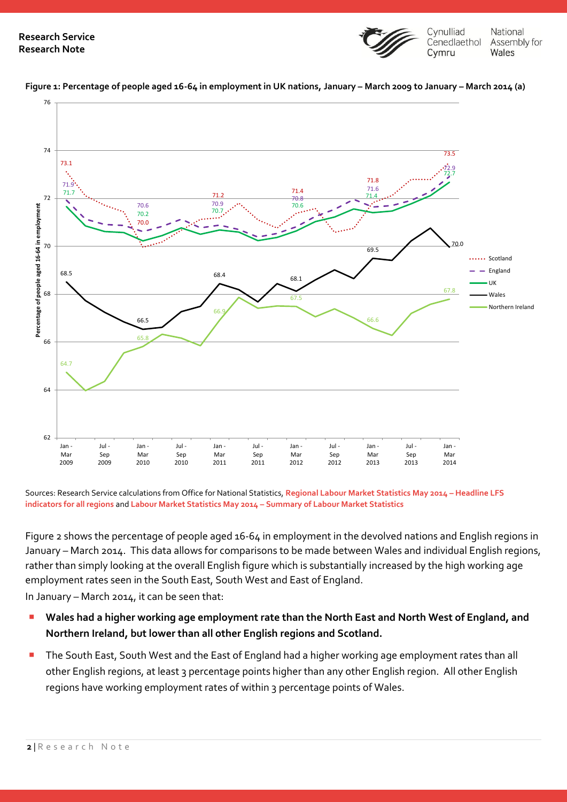



**Figure 1: Percentage of people aged 16-64 in employment in UK nations, January – March 2009 to January – March 2014 (a)**

Sources: Research Service calculations from Office for National Statistics, **[Regional Labour Market Statistics May 2014](http://www.ons.gov.uk/ons/rel/subnational-labour/regional-labour-market-statistics/may-2014/rft-lm-hi00-may-2014.xls) – Headline LFS [indicators for all regions](http://www.ons.gov.uk/ons/rel/subnational-labour/regional-labour-market-statistics/may-2014/rft-lm-hi00-may-2014.xls)** and **Labour Market Statistics May 2014 – [Summary of Labour Market Statistics](http://www.ons.gov.uk/ons/rel/lms/labour-market-statistics/may-2014/table-a01.xls)**

Figure 2 shows the percentage of people aged 16-64 in employment in the devolved nations and English regions in January – March 2014. This data allows for comparisons to be made between Wales and individual English regions, rather than simply looking at the overall English figure which is substantially increased by the high working age employment rates seen in the South East, South West and East of England.

In January – March 2014, it can be seen that:

- **Wales had a higher working age employment rate than the North East and North West of England, and Northern Ireland, but lower than all other English regions and Scotland.**
- The South East, South West and the East of England had a higher working age employment rates than all other English regions, at least 3 percentage points higher than any other English region. All other English regions have working employment rates of within 3 percentage points of Wales.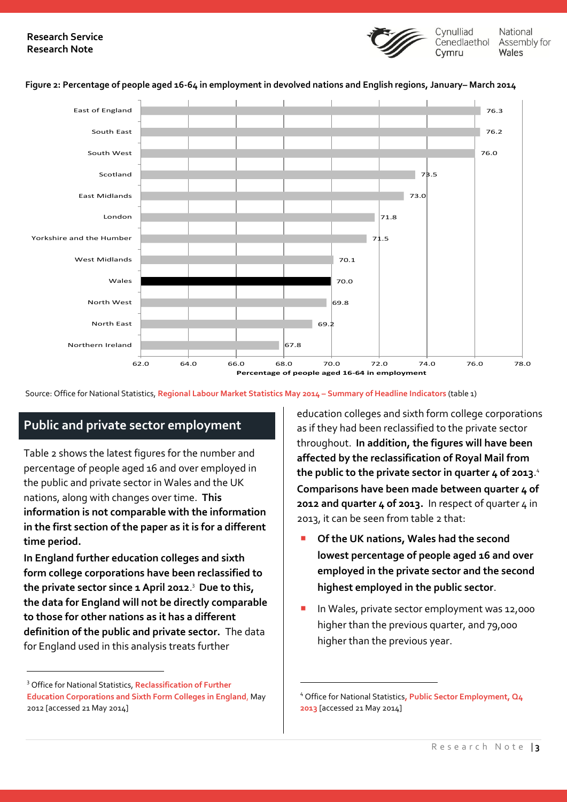### **Research Service Research Note**



National Assembly for Wales

#### **Figure 2: Percentage of people aged 16-64 in employment in devolved nations and English regions, January– March 2014**



<u>.</u>

Source: Office for National Statistics, **[Regional Labour Market Statistics May](http://www.ons.gov.uk/ons/rel/subnational-labour/regional-labour-market-statistics/may-2014/rft-lm-regional-summary-may-2014.xls) 2014 – Summary of Headline Indicators** (table 1)

### **Public and private sector employment**

Table 2 shows the latest figures for the number and percentage of people aged 16 and over employed in the public and private sector in Wales and the UK nations, along with changes over time. **This information is not comparable with the information in the first section of the paper as it is for a different time period.**

**In England further education colleges and sixth form college corporations have been reclassified to the private sector since 1 April 2012**. 3 **Due to this, the data for England will not be directly comparable to those for other nations as it has a different definition of the public and private sector.** The data for England used in this analysis treats further

 $\overline{a}$ 

education colleges and sixth form college corporations as if they had been reclassified to the private sector throughout. **In addition, the figures will have been affected by the reclassification of Royal Mail from the public to the private sector in quarter 4 of 2013**. 4 **Comparisons have been made between quarter 4 of 2012 and quarter 4 of 2013.** In respect of quarter 4 in 2013, it can be seen from table 2 that:

- **Of the UK nations, Wales had the second lowest percentage of people aged 16 and over employed in the private sector and the second highest employed in the public sector**.
- In Wales, private sector employment was 12,000 higher than the previous quarter, and 79,000 higher than the previous year.

<sup>3</sup> Office for National Statistics, **[Reclassification of Further](http://www.ons.gov.uk/ons/dcp171766_266962.pdf)  [Education Corporations and Sixth Form Colleges in England](http://www.ons.gov.uk/ons/dcp171766_266962.pdf)**, May 2012 [accessed 21 May 2014]

<sup>4</sup> Office for National Statistics**[, Public Sector Employment, Q4](http://www.ons.gov.uk/ons/rel/pse/public-sector-employment/q4-2013/stb-pse-2013-q4.html#tab-Main-stories)  [2013](http://www.ons.gov.uk/ons/rel/pse/public-sector-employment/q4-2013/stb-pse-2013-q4.html#tab-Main-stories)** [accessed 21 May 2014]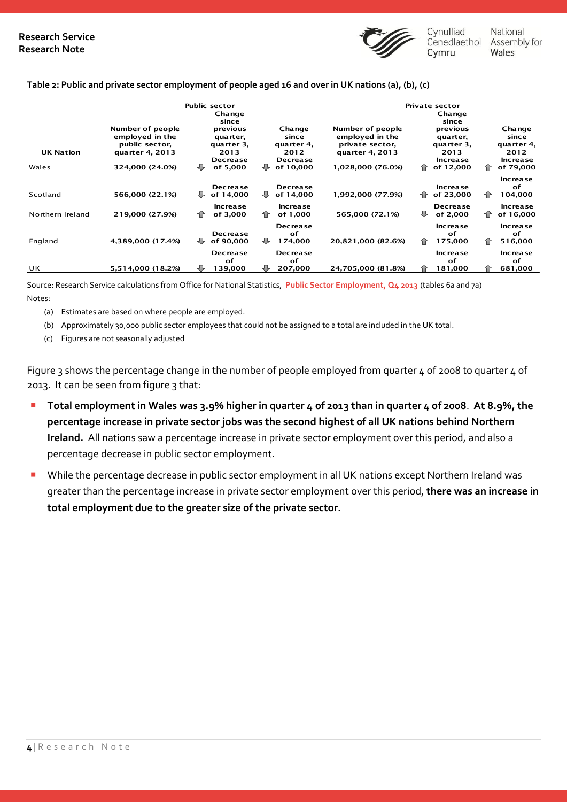

#### **Table 2: Public and private sector employment of people aged 16 and over in UK nations (a), (b), (c)**

|                  |                                                                          | <b>Public sector</b>                       |                                       | <b>Private sector</b>                                                     |                                            |                                       |  |  |
|------------------|--------------------------------------------------------------------------|--------------------------------------------|---------------------------------------|---------------------------------------------------------------------------|--------------------------------------------|---------------------------------------|--|--|
|                  |                                                                          | Change                                     |                                       |                                                                           | Change                                     |                                       |  |  |
|                  |                                                                          | since                                      |                                       |                                                                           | since                                      |                                       |  |  |
| <b>UK Nation</b> | Number of people<br>employed in the<br>public sector,<br>quarter 4, 2013 | previous<br>quarter,<br>quarter 3.<br>2013 | Change<br>since<br>quarter 4,<br>2012 | Number of people<br>employed in the<br>private sector,<br>quarter 4, 2013 | previous<br>quarter,<br>quarter 3.<br>2013 | Change<br>since<br>quarter 4,<br>2012 |  |  |
| Wales            | 324,000 (24.0%)                                                          | <b>Decrease</b><br>₩<br>of 5,000           | <b>Decrease</b><br>of 10,000<br>₩     | 1,028,000 (76.0%)                                                         | Increase<br>企<br>of 12,000                 | <b>Increase</b><br>of 79,000<br>⇑     |  |  |
| Scotland         | 566,000 (22.1%)                                                          | <b>Decrease</b><br>₩<br>of 14,000          | <b>Decrease</b><br>₩<br>of 14,000     | 1,992,000 (77.9%)                                                         | Increase<br>企<br>of 23,000                 | Increase<br>оf<br>104,000<br>⇑        |  |  |
| Northern Ireland | 219,000 (27.9%)                                                          | Increase<br>⇑<br>of 3,000                  | <b>Increase</b><br>企<br>of 1.000      | 565,000 (72.1%)                                                           | <b>Decrease</b><br>⊕<br>of 2,000           | <b>Increase</b><br>⇑<br>of 16,000     |  |  |
| England          | 4,389,000 (17.4%)                                                        | <b>Decrease</b><br>₩<br>of 90.000          | <b>Decrease</b><br>of<br>₩<br>174,000 | 20,821,000 (82.6%)                                                        | <b>Increase</b><br>of<br>企<br>175,000      | Increase<br>of<br>516,000<br>企        |  |  |
| UK               | 5,514,000 (18.2%)                                                        | <b>Decrease</b><br>of<br>139,000           | <b>Decrease</b><br>of<br>₩<br>207,000 | 24,705,000 (81.8%)                                                        | <b>Increase</b><br>of<br>181,000           | Increase<br>of<br>⇑<br>681,000        |  |  |

Source: Research Service calculations from Office for National Statistics, **[Public Sector Employment, Q4 2013](http://www.ons.gov.uk/ons/rel/pse/public-sector-employment/q4-2013/stb-pse-2013-q4.html#tab-Main-stories)** (tables 6a and 7a) Notes:

- (a) Estimates are based on where people are employed.
- (b) Approximately 30,000 public sector employees that could not be assigned to a total are included in the UK total.
- (c) Figures are not seasonally adjusted

Figure 3 shows the percentage change in the number of people employed from quarter 4 of 2008 to quarter 4 of 2013. It can be seen from figure 3 that:

- **Total employment in Wales was 3.9% higher in quarter 4 of 2013 than in quarter 4 of 2008**. **At 8.9%, the percentage increase in private sector jobs was the second highest of all UK nations behind Northern Ireland.** All nations saw a percentage increase in private sector employment over this period, and also a percentage decrease in public sector employment.
- While the percentage decrease in public sector employment in all UK nations except Northern Ireland was greater than the percentage increase in private sector employment over this period, **there was an increase in total employment due to the greater size of the private sector.**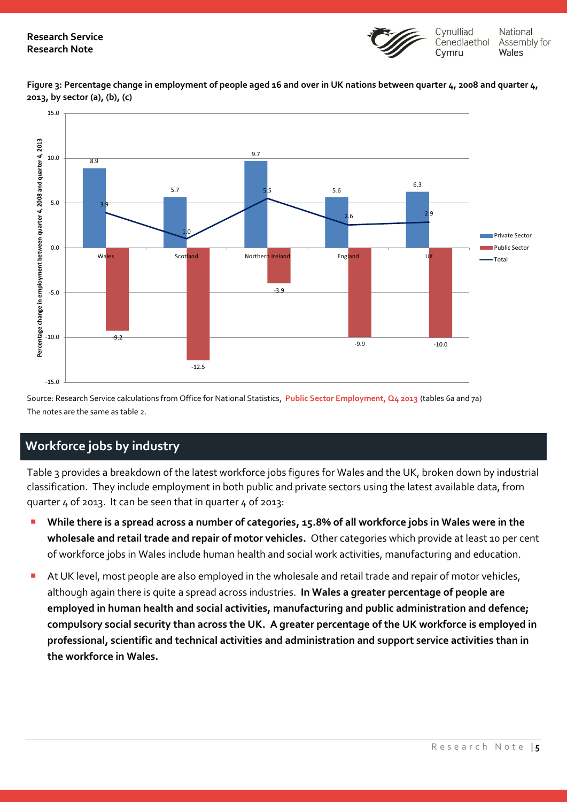

**Figure 3: Percentage change in employment of people aged 16 and over in UK nations between quarter 4, 2008 and quarter 4, 2013, by sector (a), (b), (c)**



Source: Research Service calculations from Office for National Statistics, **[Public Sector Employment, Q4 2013](http://www.ons.gov.uk/ons/rel/pse/public-sector-employment/q4-2013/stb-pse-2013-q4.html#tab-Main-stories)** (tables 6a and 7a) The notes are the same as table 2.

## **Workforce jobs by industry**

Table 3 provides a breakdown of the latest workforce jobs figures for Wales and the UK, broken down by industrial classification. They include employment in both public and private sectors using the latest available data, from quarter 4 of 2013. It can be seen that in quarter 4 of 2013:

- **While there is a spread across a number of categories, 15.8% of all workforce jobs in Wales were in the wholesale and retail trade and repair of motor vehicles.** Other categories which provide at least 10 per cent of workforce jobs in Wales include human health and social work activities, manufacturing and education.
- At UK level, most people are also employed in the wholesale and retail trade and repair of motor vehicles, although again there is quite a spread across industries. **In Wales a greater percentage of people are employed in human health and social activities, manufacturing and public administration and defence; compulsory social security than across the UK. A greater percentage of the UK workforce is employed in professional, scientific and technical activities and administration and support service activities than in the workforce in Wales.**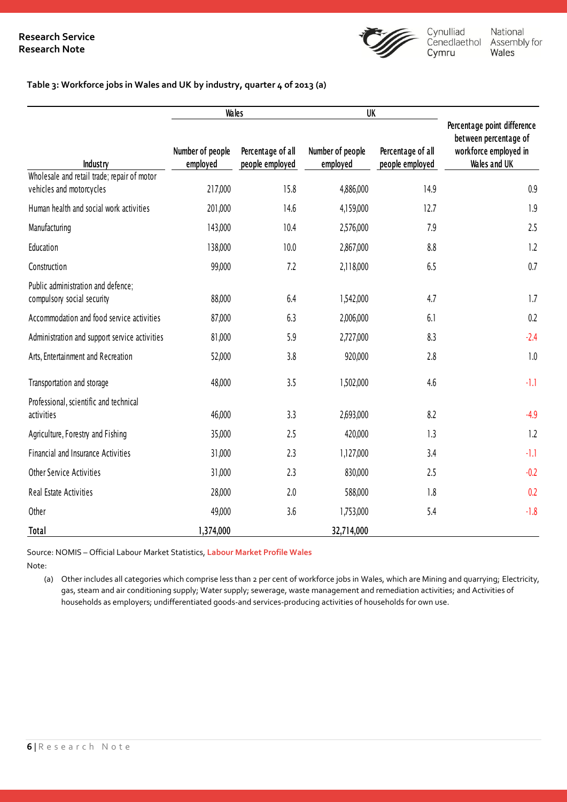

#### **Table 3: Workforce jobs in Wales and UK by industry, quarter 4 of 2013 (a)**

|                                                                         | <b>Wales</b>                 |                                      | UK                           |                                      |                                                                                               |  |
|-------------------------------------------------------------------------|------------------------------|--------------------------------------|------------------------------|--------------------------------------|-----------------------------------------------------------------------------------------------|--|
| Industry                                                                | Number of people<br>employed | Percentage of all<br>people employed | Number of people<br>employed | Percentage of all<br>people employed | Percentage point difference<br>between percentage of<br>workforce employed in<br>Wales and UK |  |
| Wholesale and retail trade; repair of motor<br>vehicles and motorcycles | 217,000                      | 15.8                                 | 4,886,000                    | 14.9                                 | 0.9                                                                                           |  |
| Human health and social work activities                                 | 201,000                      | 14.6                                 | 4,159,000                    | 12.7                                 | 1.9                                                                                           |  |
| Manufacturing                                                           | 143,000                      | 10.4                                 | 2,576,000                    | 7.9                                  | 2.5                                                                                           |  |
| Education                                                               | 138,000                      | 10.0                                 | 2,867,000                    | 8.8                                  | 1.2                                                                                           |  |
| Construction                                                            | 99,000                       | 7.2                                  | 2,118,000                    | 6.5                                  | 0.7                                                                                           |  |
| Public administration and defence;<br>compulsory social security        | 88,000                       | 6.4                                  | 1,542,000                    | 4.7                                  | 1.7                                                                                           |  |
| Accommodation and food service activities                               | 87,000                       | 6.3                                  | 2,006,000                    | 6.1                                  | 0.2                                                                                           |  |
| Administration and support service activities                           | 81,000                       | 5.9                                  | 2,727,000                    | 8.3                                  | $-2.4$                                                                                        |  |
| Arts, Entertainment and Recreation                                      | 52,000                       | 3.8                                  | 920,000                      | 2.8                                  | 1.0                                                                                           |  |
| Transportation and storage                                              | 48,000                       | 3.5                                  | 1,502,000                    | 4.6                                  | $-1.1$                                                                                        |  |
| Professional, scientific and technical<br>activities                    | 46,000                       | 3.3                                  | 2,693,000                    | 8.2                                  | $-4.9$                                                                                        |  |
| Agriculture, Forestry and Fishing                                       | 35,000                       | 2.5                                  | 420,000                      | 1.3                                  | 1.2                                                                                           |  |
| Financial and Insurance Activities                                      | 31,000                       | 2.3                                  | 1,127,000                    | 3.4                                  | $-1.1$                                                                                        |  |
| <b>Other Service Activities</b>                                         | 31,000                       | 2.3                                  | 830,000                      | 2.5                                  | $-0.2$                                                                                        |  |
| Real Estate Activities                                                  | 28,000                       | 2.0                                  | 588,000                      | 1.8                                  | 0.2                                                                                           |  |
| Other                                                                   | 49,000                       | 3.6                                  | 1,753,000                    | 5.4                                  | $-1.8$                                                                                        |  |
| Total                                                                   | 1,374,000                    |                                      | 32,714,000                   |                                      |                                                                                               |  |

Source: NOMIS – Official Labour Market Statistics, **[Labour Market Profile Wales](http://www.nomisweb.co.uk/reports/lmp/gor/2013265930/report.aspx)**

Note:

(a) Other includes all categories which comprise less than 2 per cent of workforce jobs in Wales, which are Mining and quarrying; Electricity, gas, steam and air conditioning supply; Water supply; sewerage, waste management and remediation activities; and Activities of households as employers; undifferentiated goods-and services-producing activities of households for own use.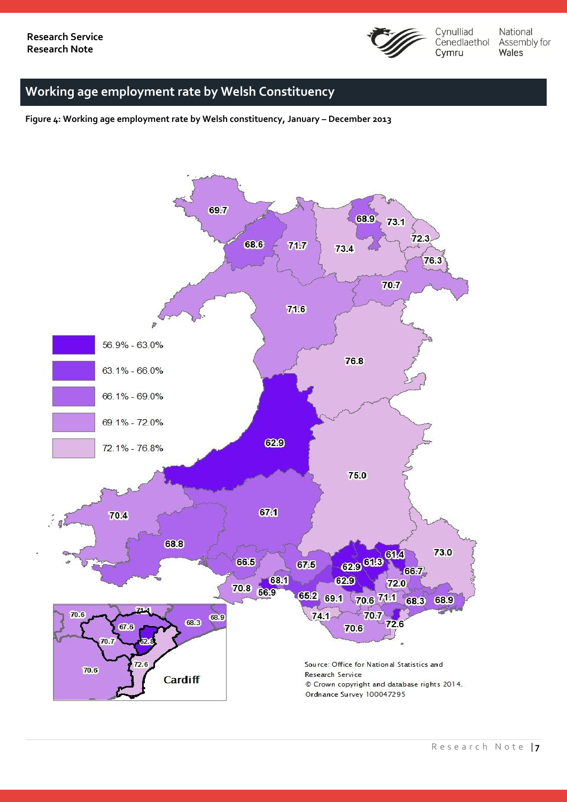

National Assembly for Wales

## **Working age employment rate by Welsh Constituency**

**Figure 4: Working age employment rate by Welsh constituency, January – December 2013**